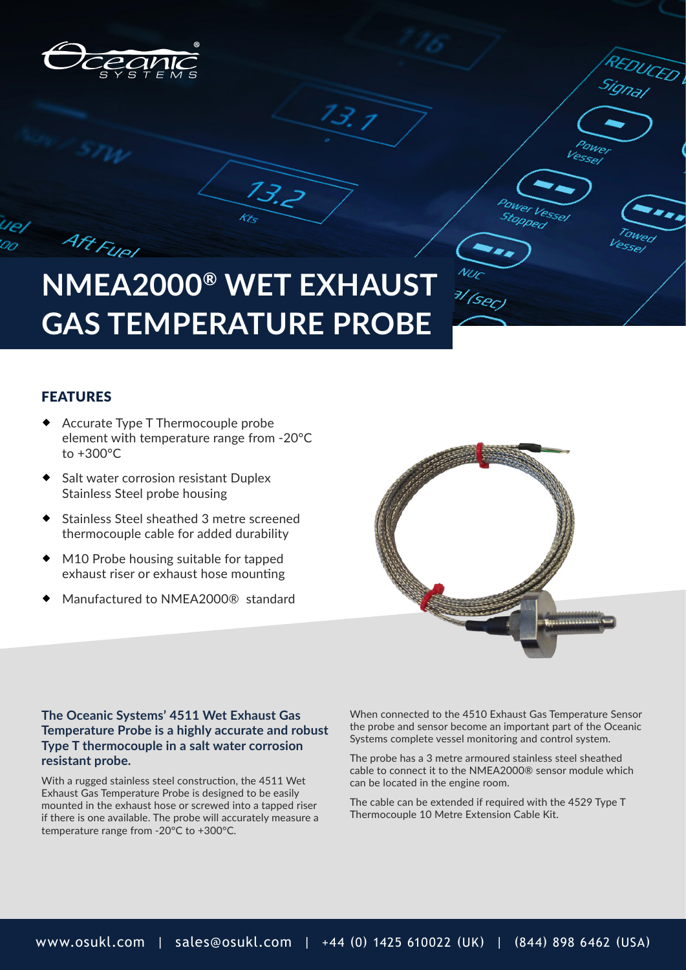



 $13.2$ 

## FEATURES

Aft Fuel

- Accurate Type T Thermocouple probe element with temperature range from -20°C to +300°C
- Salt water corrosion resistant Duplex Stainless Steel probe housing
- Stainless Steel sheathed 3 metre screened thermocouple cable for added durability
- M10 Probe housing suitable for tapped exhaust riser or exhaust hose mounting
- Manufactured to NMEA2000® standard



DUCED

Vessel

**OWER VESSE** toppeo

## **The Oceanic Systems' 4511 Wet Exhaust Gas Temperature Probe is a highly accurate and robust Type T thermocouple in a salt water corrosion resistant probe.**

With a rugged stainless steel construction, the 4511 Wet Exhaust Gas Temperature Probe is designed to be easily mounted in the exhaust hose or screwed into a tapped riser if there is one available. The probe will accurately measure a temperature range from -20°C to +300°C.

When connected to the 4510 Exhaust Gas Temperature Sensor the probe and sensor become an important part of the Oceanic Systems complete vessel monitoring and control system.

The probe has a 3 metre armoured stainless steel sheathed cable to connect it to the NMEA2000® sensor module which can be located in the engine room.

The cable can be extended if required with the 4529 Type T Thermocouple 10 Metre Extension Cable Kit.